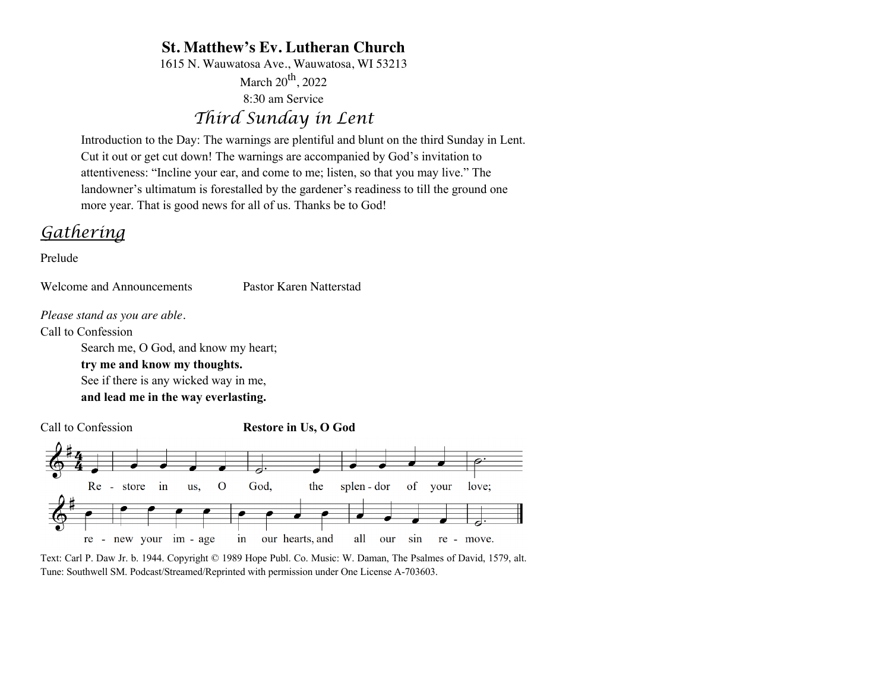# **St. Matthew's Ev. Lutheran Church**

1615 N. Wauwatosa Ave., Wauwatosa, WI 53213

March  $20^{th}$ , 2022 8:30 am Service

# *Third Sunday in Lent*

Introduction to the Day: The warnings are plentiful and blunt on the third Sunday in Lent. Cut it out or get cut down! The warnings are accompanied by God's invitation to attentiveness: "Incline your ear, and come to me; listen, so that you may live." The landowner's ultimatum is forestalled by the gardener's readiness to till the ground one more year. That is good news for all of us. Thanks be to God!

# *Gathering*

Prelude

Welcome and Announcements Pastor Karen Natterstad

*Please stand as you are able.*

Call to Confession

Search me, O God, and know my heart; **try me and know my thoughts.** See if there is any wicked way in me, **and lead me in the way everlasting.**

Call to Confession **Restore in Us, O God**



Text: Carl P. Daw Jr. b. 1944. Copyright © 1989 Hope Publ. Co. Music: W. Daman, The Psalmes of David, 1579, alt. Tune: Southwell SM. Podcast/Streamed/Reprinted with permission under One License A-703603.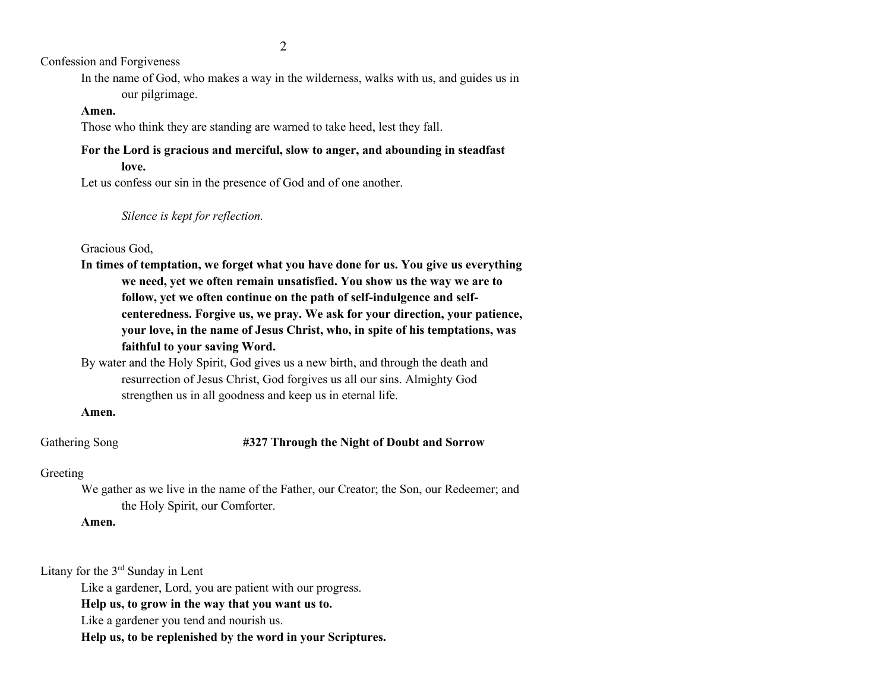2

Confession and Forgiveness

In the name of God, who makes a way in the wilderness, walks with us, and guides us in our pilgrimage.

## **Amen.**

Those who think they are standing are warned to take heed, lest they fall.

# **For the Lord is gracious and merciful, slow to anger, and abounding in steadfast love.**

Let us confess our sin in the presence of God and of one another.

*Silence is kept for reflection.*

# Gracious God,

**In times of temptation, we forget what you have done for us. You give us everything we need, yet we often remain unsatisfied. You show us the way we are to follow, yet we often continue on the path of self-indulgence and selfcenteredness. Forgive us, we pray. We ask for your direction, your patience, your love, in the name of Jesus Christ, who, in spite of his temptations, was faithful to your saving Word.**

By water and the Holy Spirit, God gives us a new birth, and through the death and resurrection of Jesus Christ, God forgives us all our sins. Almighty God strengthen us in all goodness and keep us in eternal life.

### **Amen.**

# Gathering Song **#327 Through the Night of Doubt and Sorrow**

# Greeting

We gather as we live in the name of the Father, our Creator; the Son, our Redeemer; and the Holy Spirit, our Comforter.

**Amen.**

Litany for the 3rd Sunday in Lent

Like a gardener, Lord, you are patient with our progress.

**Help us, to grow in the way that you want us to.**

Like a gardener you tend and nourish us.

**Help us, to be replenished by the word in your Scriptures.**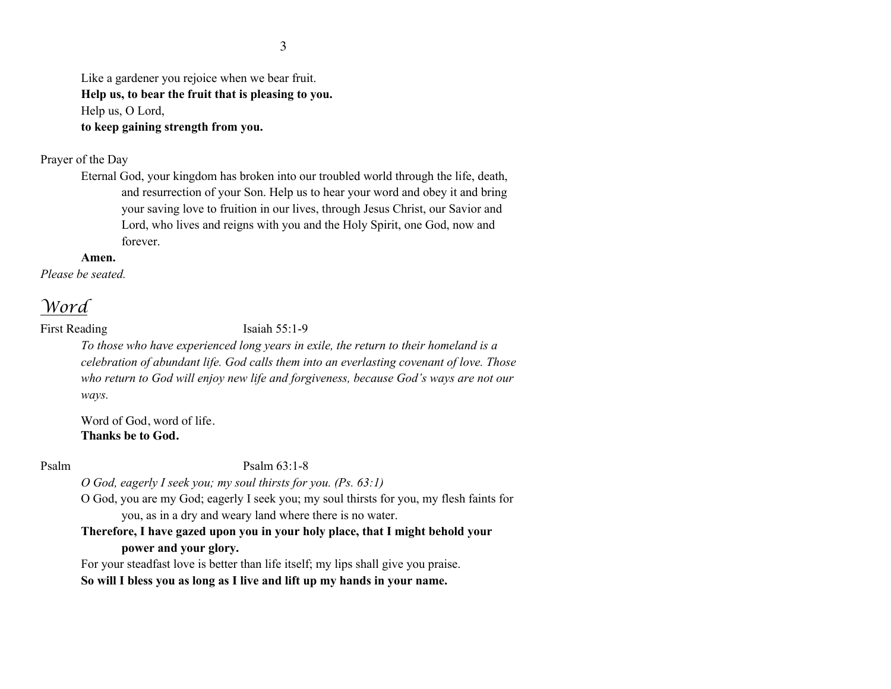Like a gardener you rejoice when we bear fruit. **Help us, to bear the fruit that is pleasing to you.** Help us, O Lord, **to keep gaining strength from you.**

### Prayer of the Day

Eternal God, your kingdom has broken into our troubled world through the life, death, and resurrection of your Son. Help us to hear your word and obey it and bring your saving love to fruition in our lives, through Jesus Christ, our Savior and Lord, who lives and reigns with you and the Holy Spirit, one God, now and forever.

#### **Amen.**

*Please be seated.*

# *Word*

First Reading Isaiah 55:1-9

*To those who have experienced long years in exile, the return to their homeland is a celebration of abundant life. God calls them into an everlasting covenant of love. Those who return to God will enjoy new life and forgiveness, because God's ways are not our ways.*

Word of God, word of life. **Thanks be to God.**

Psalm Psalm 63:1-8

*O God, eagerly I seek you; my soul thirsts for you. (Ps. 63:1)*

O God, you are my God; eagerly I seek you; my soul thirsts for you, my flesh faints for you, as in a dry and weary land where there is no water.

**Therefore, I have gazed upon you in your holy place, that I might behold your power and your glory.** 

For your steadfast love is better than life itself; my lips shall give you praise. **So will I bless you as long as I live and lift up my hands in your name.**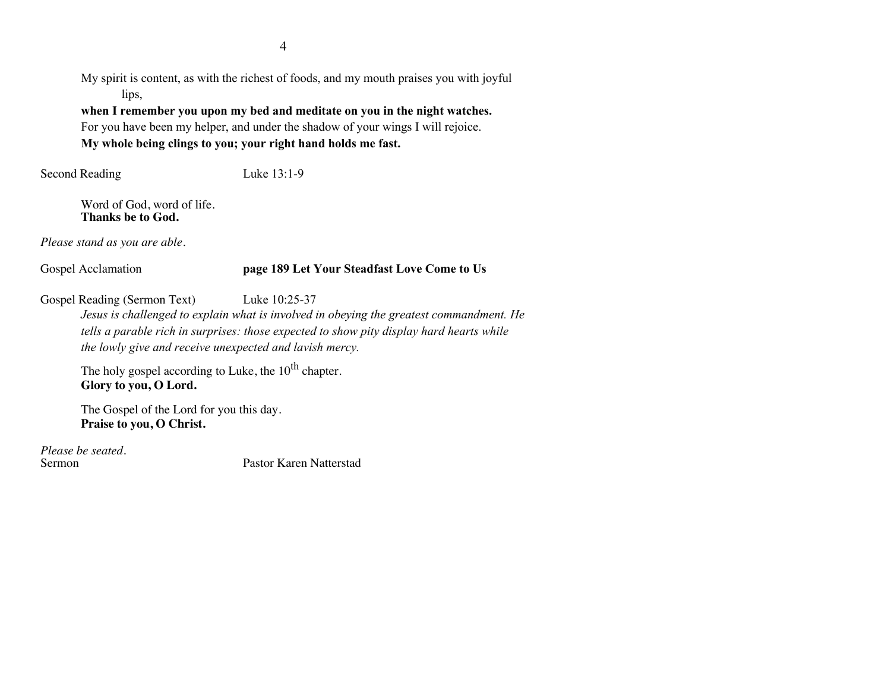My spirit is content, as with the richest of foods, and my mouth praises you with joyful lips,

**when I remember you upon my bed and meditate on you in the night watches.**  For you have been my helper, and under the shadow of your wings I will rejoice. **My whole being clings to you; your right hand holds me fast.**

Second Reading Luke 13:1-9

Word of God, word of life. **Thanks be to God.**

*Please stand as you are able.*

# Gospel Acclamation **page 189 Let Your Steadfast Love Come to Us**

Gospel Reading (Sermon Text) Luke 10:25-37

*Jesus is challenged to explain what is involved in obeying the greatest commandment. He tells a parable rich in surprises: those expected to show pity display hard hearts while the lowly give and receive unexpected and lavish mercy.*

The holy gospel according to Luke, the  $10^{th}$  chapter. **Glory to you, O Lord.**

The Gospel of the Lord for you this day. **Praise to you, O Christ.**

*Please be seated.*

Pastor Karen Natterstad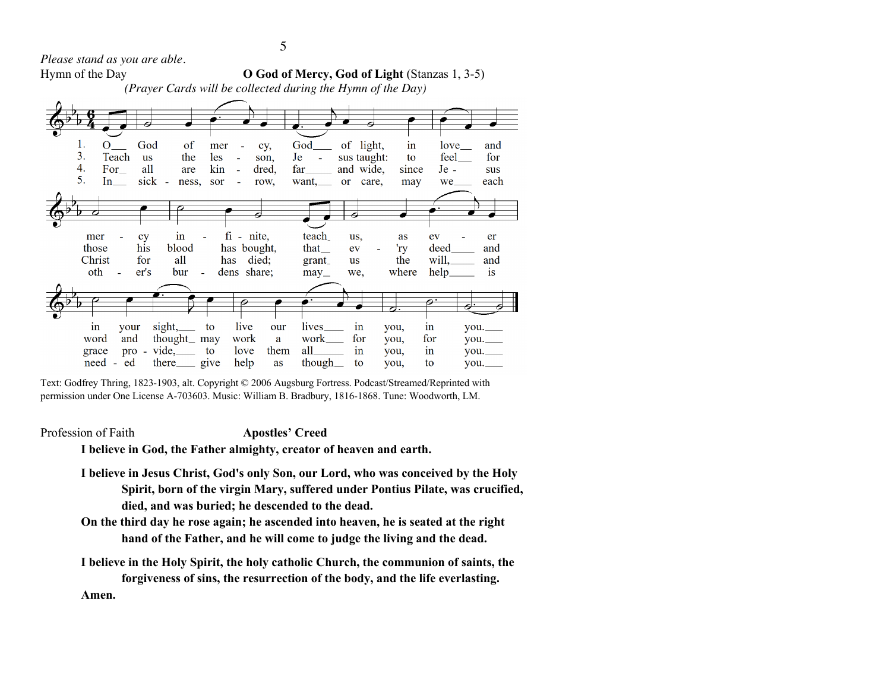*Please stand as you are able.*

Hymn of the Day **O God of Mercy, God of Light** (Stanzas 1, 3-5)

*(Prayer Cards will be collected during the Hymn of the Day)*



Text: Godfrey Thring, 1823-1903, alt. Copyright © 2006 Augsburg Fortress. Podcast/Streamed/Reprinted with permission under One License A-703603. Music: William B. Bradbury, 1816-1868. Tune: Woodworth, LM.

Profession of Faith **Apostles' Creed**

**I believe in God, the Father almighty, creator of heaven and earth.** 

- **I believe in Jesus Christ, God's only Son, our Lord, who was conceived by the Holy Spirit, born of the virgin Mary, suffered under Pontius Pilate, was crucified, died, and was buried; he descended to the dead.**
- **On the third day he rose again; he ascended into heaven, he is seated at the right hand of the Father, and he will come to judge the living and the dead.**

**I believe in the Holy Spirit, the holy catholic Church, the communion of saints, the forgiveness of sins, the resurrection of the body, and the life everlasting. Amen.**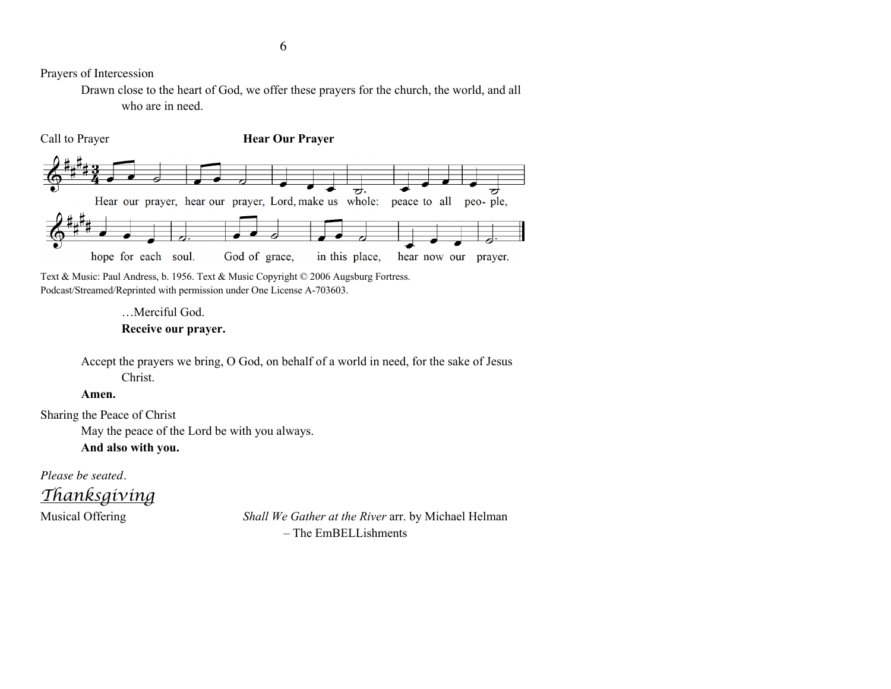Prayers of Intercession

Drawn close to the heart of God, we offer these prayers for the church, the world, and all who are in need.



Text & Music: Paul Andress, b. 1956. Text & Music Copyright © 2006 Augsburg Fortress. Podcast/Streamed/Reprinted with permission under One License A-703603.

# …Merciful God. **Receive our prayer.**

Accept the prayers we bring, O God, on behalf of a world in need, for the sake of Jesus Christ.

### **Amen.**

Sharing the Peace of Christ

May the peace of the Lord be with you always.

**And also with you.**

*Please be seated.*

*Thanksgiving*

Musical Offering *Shall We Gather at the River* arr. by Michael Helman – The EmBELLishments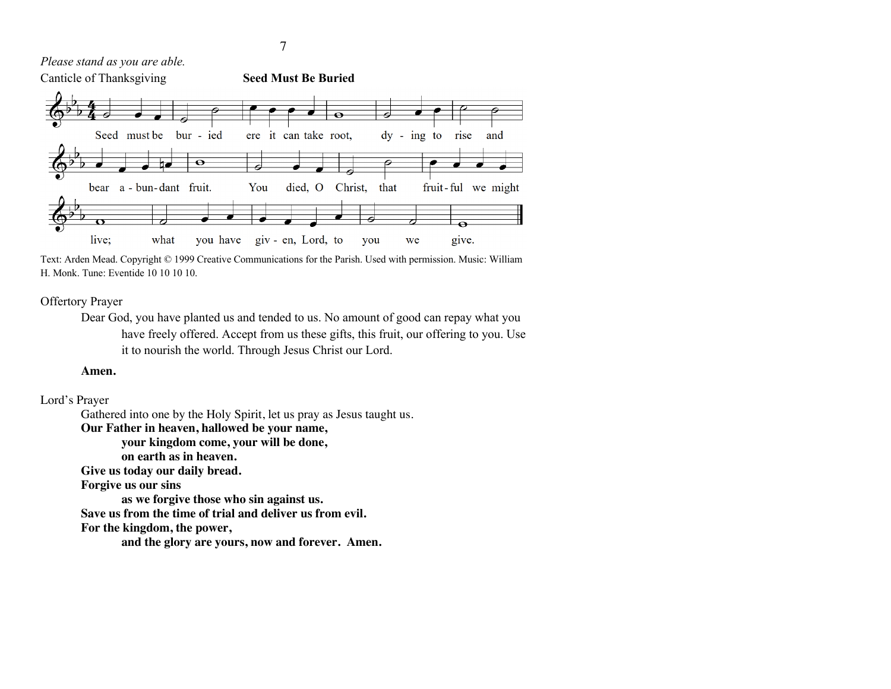*Please stand as you are able.*



Text: Arden Mead. Copyright © 1999 Creative Communications for the Parish. Used with permission. Music: William H. Monk. Tune: Eventide 10 10 10 10.

#### Offertory Prayer

Dear God, you have planted us and tended to us. No amount of good can repay what you have freely offered. Accept from us these gifts, this fruit, our offering to you. Use it to nourish the world. Through Jesus Christ our Lord.

#### **Amen.**

#### Lord's Prayer

Gathered into one by the Holy Spirit, let us pray as Jesus taught us. **Our Father in heaven, hallowed be your name, your kingdom come, your will be done, on earth as in heaven. Give us today our daily bread. Forgive us our sins as we forgive those who sin against us. Save us from the time of trial and deliver us from evil. For the kingdom, the power, and the glory are yours, now and forever. Amen.**